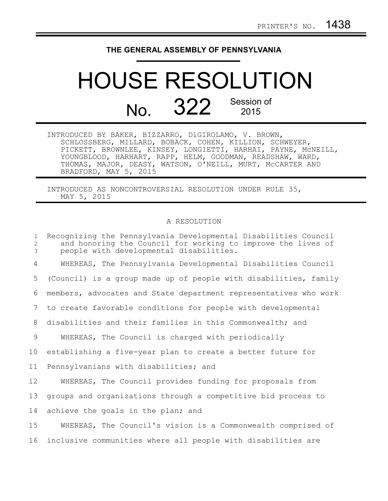## **THE GENERAL ASSEMBLY OF PENNSYLVANIA**

## HOUSE RESOLUTION No. 322 Session of

| INTRODUCED BY BAKER, BIZZARRO, DiGIROLAMO, V. BROWN,          |
|---------------------------------------------------------------|
| SCHLOSSBERG, MILLARD, BOBACK, COHEN, KILLION, SCHWEYER,       |
| PICKETT, BROWNLEE, KINSEY, LONGIETTI, HARHAI, PAYNE, MCNEILL, |
| YOUNGBLOOD, HARHART, RAPP, HELM, GOODMAN, READSHAW, WARD,     |
| THOMAS, MAJOR, DEASY, WATSON, O'NEILL, MURT, MCCARTER AND     |
| BRADFORD, MAY 5, 2015                                         |

INTRODUCED AS NONCONTROVERSIAL RESOLUTION UNDER RULE 35, MAY 5, 2015

## A RESOLUTION

| $\mathbf{1}$<br>2<br>3 | Recognizing the Pennsylvania Developmental Disabilities Council<br>and honoring the Council for working to improve the lives of<br>people with developmental disabilities. |
|------------------------|----------------------------------------------------------------------------------------------------------------------------------------------------------------------------|
| 4                      | WHEREAS, The Pennsylvania Developmental Disabilities Council                                                                                                               |
| 5                      | (Council) is a group made up of people with disabilities, family                                                                                                           |
| 6                      | members, advocates and State department representatives who work                                                                                                           |
| 7                      | to create favorable conditions for people with developmental                                                                                                               |
| 8                      | disabilities and their families in this Commonwealth; and                                                                                                                  |
| 9                      | WHEREAS, The Council is charged with periodically                                                                                                                          |
| 10                     | establishing a five-year plan to create a better future for                                                                                                                |
| 11                     | Pennsylvanians with disabilities; and                                                                                                                                      |
| 12                     | WHEREAS, The Council provides funding for proposals from                                                                                                                   |
| 13                     | groups and organizations through a competitive bid process to                                                                                                              |
| 14                     | achieve the goals in the plan; and                                                                                                                                         |
| 15                     | WHEREAS, The Council's vision is a Commonwealth comprised of                                                                                                               |
| 16                     | inclusive communities where all people with disabilities are                                                                                                               |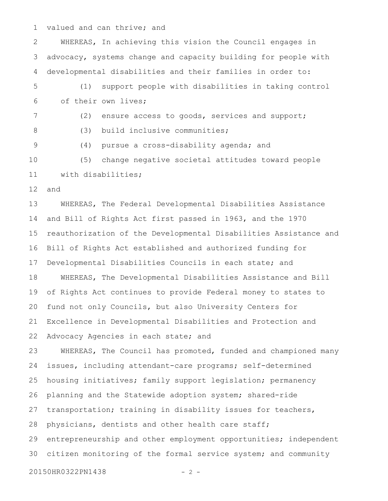valued and can thrive; and 1

WHEREAS, In achieving this vision the Council engages in advocacy, systems change and capacity building for people with developmental disabilities and their families in order to: (1) support people with disabilities in taking control of their own lives; (2) ensure access to goods, services and support; (3) build inclusive communities; (4) pursue a cross-disability agenda; and (5) change negative societal attitudes toward people with disabilities; and WHEREAS, The Federal Developmental Disabilities Assistance and Bill of Rights Act first passed in 1963, and the 1970 reauthorization of the Developmental Disabilities Assistance and Bill of Rights Act established and authorized funding for Developmental Disabilities Councils in each state; and WHEREAS, The Developmental Disabilities Assistance and Bill of Rights Act continues to provide Federal money to states to fund not only Councils, but also University Centers for Excellence in Developmental Disabilities and Protection and Advocacy Agencies in each state; and WHEREAS, The Council has promoted, funded and championed many issues, including attendant-care programs; self-determined housing initiatives; family support legislation; permanency planning and the Statewide adoption system; shared-ride transportation; training in disability issues for teachers, physicians, dentists and other health care staff; entrepreneurship and other employment opportunities; independent citizen monitoring of the formal service system; and community 20150HR0322PN1438 - 2 -2 3 4 5 6 7 8 9 10 11 12 13 14 15 16 17 18 19 20 21 22 23 24 25 26 27 28 29 30